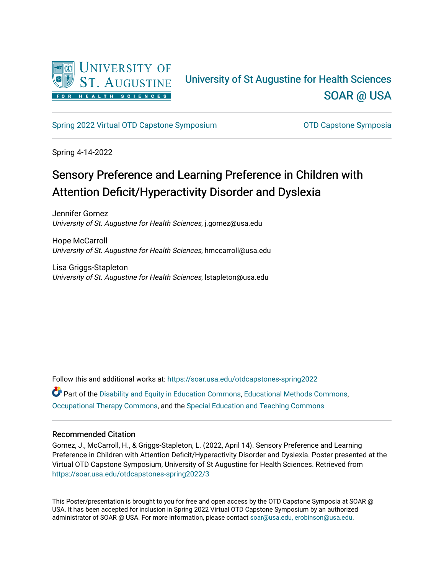

#### University of St Augustine for Health Sciences [SOAR @ USA](https://soar.usa.edu/)

[Spring 2022 Virtual OTD Capstone Symposium](https://soar.usa.edu/otdcapstones-spring2022) **Capstone Symposia** OTD Capstone Symposia

Spring 4-14-2022

#### Sensory Preference and Learning Preference in Children with Attention Deficit/Hyperactivity Disorder and Dyslexia

Jennifer Gomez University of St. Augustine for Health Sciences, j.gomez@usa.edu

Hope McCarroll University of St. Augustine for Health Sciences, hmccarroll@usa.edu

Lisa Griggs-Stapleton University of St. Augustine for Health Sciences, lstapleton@usa.edu

Follow this and additional works at: [https://soar.usa.edu/otdcapstones-spring2022](https://soar.usa.edu/otdcapstones-spring2022?utm_source=soar.usa.edu%2Fotdcapstones-spring2022%2F3&utm_medium=PDF&utm_campaign=PDFCoverPages)

Part of the [Disability and Equity in Education Commons](http://network.bepress.com/hgg/discipline/1040?utm_source=soar.usa.edu%2Fotdcapstones-spring2022%2F3&utm_medium=PDF&utm_campaign=PDFCoverPages), [Educational Methods Commons](http://network.bepress.com/hgg/discipline/1227?utm_source=soar.usa.edu%2Fotdcapstones-spring2022%2F3&utm_medium=PDF&utm_campaign=PDFCoverPages), [Occupational Therapy Commons](http://network.bepress.com/hgg/discipline/752?utm_source=soar.usa.edu%2Fotdcapstones-spring2022%2F3&utm_medium=PDF&utm_campaign=PDFCoverPages), and the [Special Education and Teaching Commons](http://network.bepress.com/hgg/discipline/801?utm_source=soar.usa.edu%2Fotdcapstones-spring2022%2F3&utm_medium=PDF&utm_campaign=PDFCoverPages)

#### Recommended Citation

Gomez, J., McCarroll, H., & Griggs-Stapleton, L. (2022, April 14). Sensory Preference and Learning Preference in Children with Attention Deficit/Hyperactivity Disorder and Dyslexia. Poster presented at the Virtual OTD Capstone Symposium, University of St Augustine for Health Sciences. Retrieved from [https://soar.usa.edu/otdcapstones-spring2022/3](https://soar.usa.edu/otdcapstones-spring2022/3?utm_source=soar.usa.edu%2Fotdcapstones-spring2022%2F3&utm_medium=PDF&utm_campaign=PDFCoverPages) 

This Poster/presentation is brought to you for free and open access by the OTD Capstone Symposia at SOAR @ USA. It has been accepted for inclusion in Spring 2022 Virtual OTD Capstone Symposium by an authorized administrator of SOAR @ USA. For more information, please contact [soar@usa.edu, erobinson@usa.edu](mailto:soar@usa.edu,%20erobinson@usa.edu).